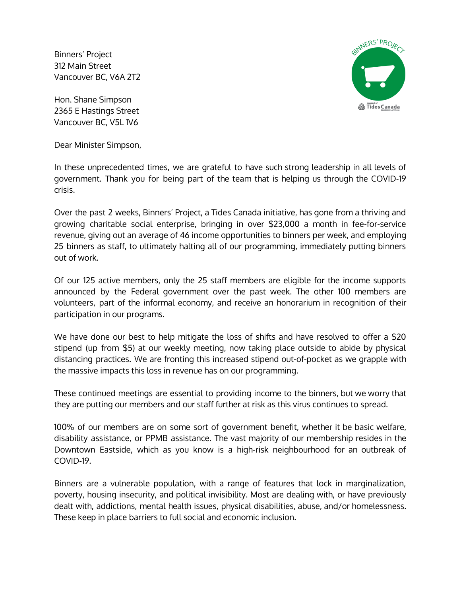Binners' Project 312 Main Street Vancouver BC, V6A 2T2

Hon. Shane Simpson 2365 E Hastings Street Vancouver BC, V5L 1V6

Dear Minister Simpson,



In these unprecedented times, we are grateful to have such strong leadership in all levels of government. Thank you for being part of the team that is helping us through the COVID-19 crisis.

Over the past 2 weeks, Binners' Project, a Tides Canada initiative, has gone from a thriving and growing charitable social enterprise, bringing in over \$23,000 a month in fee-for-service revenue, giving out an average of 46 income opportunities to binners per week, and employing 25 binners as staff, to ultimately halting all of our programming, immediately putting binners out of work.

Of our 125 active members, only the 25 staff members are eligible for the income supports announced by the Federal government over the past week. The other 100 members are volunteers, part of the informal economy, and receive an honorarium in recognition of their participation in our programs.

We have done our best to help mitigate the loss of shifts and have resolved to offer a \$20 stipend (up from \$5) at our weekly meeting, now taking place outside to abide by physical distancing practices. We are fronting this increased stipend out-of-pocket as we grapple with the massive impacts this loss in revenue has on our programming.

These continued meetings are essential to providing income to the binners, but we worry that they are putting our members and our staff further at risk as this virus continues to spread.

100% of our members are on some sort of government benefit, whether it be basic welfare, disability assistance, or PPMB assistance. The vast majority of our membership resides in the Downtown Eastside, which as you know is a high-risk neighbourhood for an outbreak of COVID-19.

Binners are a vulnerable population, with a range of features that lock in marginalization, poverty, housing insecurity, and political invisibility. Most are dealing with, or have previously dealt with, addictions, mental health issues, physical disabilities, abuse, and/or homelessness. These keep in place barriers to full social and economic inclusion.